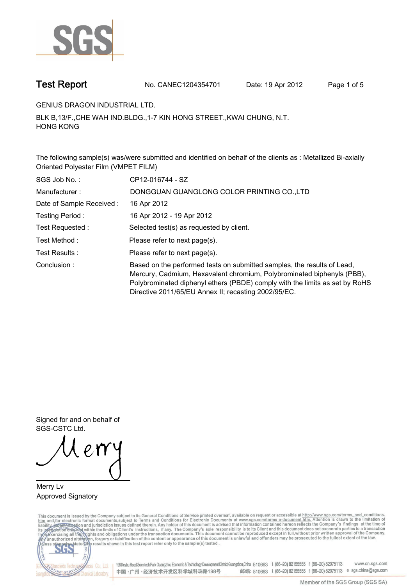

**Test Report. No. CANEC1204354701 Date: 19 Apr 2012. Page 1 of 5.**

**GENIUS DRAGON INDUSTRIAL LTD..**

**BLK B,13/F.,CHE WAH IND.BLDG.,1-7 KIN HONG STREET.,KWAI CHUNG, N.T. HONG KONG.**

**The following sample(s) was/were submitted and identified on behalf of the clients as : Metallized Bi-axially Oriented Polyester Film (VMPET FILM).**

| SGS Job No.:             | CP12-016744 - SZ                                                                                                                                                                                                                                                                         |
|--------------------------|------------------------------------------------------------------------------------------------------------------------------------------------------------------------------------------------------------------------------------------------------------------------------------------|
| Manufacturer:            | DONGGUAN GUANGLONG COLOR PRINTING CO., LTD                                                                                                                                                                                                                                               |
| Date of Sample Received: | 16 Apr 2012                                                                                                                                                                                                                                                                              |
| Testing Period:          | 16 Apr 2012 - 19 Apr 2012                                                                                                                                                                                                                                                                |
| Test Requested :         | Selected test(s) as requested by client.                                                                                                                                                                                                                                                 |
| Test Method :            | Please refer to next page(s).                                                                                                                                                                                                                                                            |
| Test Results:            | Please refer to next page(s).                                                                                                                                                                                                                                                            |
| Conclusion:              | Based on the performed tests on submitted samples, the results of Lead,<br>Mercury, Cadmium, Hexavalent chromium, Polybrominated biphenyls (PBB),<br>Polybrominated diphenyl ethers (PBDE) comply with the limits as set by RoHS<br>Directive 2011/65/EU Annex II; recasting 2002/95/EC. |

**Signed for and on behalf of SGS-CSTC Ltd..**

**Merry Lv. Approved Signatory.**

This document is issued by the Company subject to its General Conditions of Service printed overleaf, available on request or accessible at http://www.sgs.com/terms\_and\_conditions.<br>htm\_and,for electronic format documents,s



198 Kezhu Road,Scientech Park Guangzhou Economic & Technology Development District,Guangzhou,China 510663 t (86-20) 82155555 f (86-20) 82075113 www.cn.sgs.com 邮编: 510663 t (86-20) 82155555 f (86-20) 82075113 e sgs.china@sgs.com 中国·广州·经济技术开发区科学城科珠路198号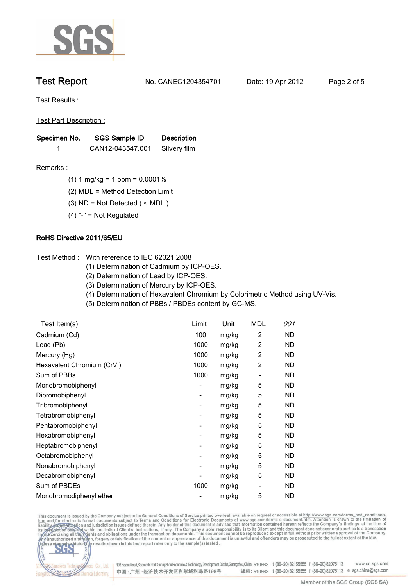

**Test Report. No. CANEC1204354701 Date: 19 Apr 2012. Page 2 of 5.**

**Test Results :.**

**Test Part Description :.**

| Specimen No. | SGS Sample ID    | <b>Description</b> |  |
|--------------|------------------|--------------------|--|
|              | CAN12-043547.001 | Silvery film       |  |

- **Remarks :.(1) 1 mg/kg = 1 ppm = 0.0001%.**
	- **(2) MDL = Method Detection Limit.**
	- **(3) ND = Not Detected ( < MDL ).**
	- **(4) "-" = Not Regulated.**

## **RoHS Directive 2011/65/EU.**

- **Test Method :. With reference to IEC 62321:2008**
	- **(1) Determination of Cadmium by ICP-OES.**
	- **(2) Determination of Lead by ICP-OES.**
	- **(3) Determination of Mercury by ICP-OES.**
	- **(4) Determination of Hexavalent Chromium by Colorimetric Method using UV-Vis.**
	- **(5) Determination of PBBs / PBDEs content by GC-MS..**

| Test Item(s)               | Limit | Unit  | <b>MDL</b>               | 001       |
|----------------------------|-------|-------|--------------------------|-----------|
| Cadmium (Cd)               | 100   | mg/kg | 2                        | ND        |
| Lead (Pb)                  | 1000  | mg/kg | 2                        | ND        |
| Mercury (Hg)               | 1000  | mg/kg | 2                        | ND.       |
| Hexavalent Chromium (CrVI) | 1000  | mg/kg | $\overline{\mathbf{c}}$  | ND        |
| Sum of PBBs                | 1000  | mg/kg |                          | ND        |
| Monobromobiphenyl          | -     | mg/kg | 5                        | ND        |
| Dibromobiphenyl            | -     | mg/kg | 5                        | ND        |
| Tribromobiphenyl           | -     | mg/kg | 5                        | ND        |
| Tetrabromobiphenyl         | -     | mg/kg | 5                        | ND        |
| Pentabromobiphenyl         | -     | mg/kg | 5                        | ND        |
| Hexabromobiphenyl          | -     | mg/kg | 5                        | ND        |
| Heptabromobiphenyl         | -     | mg/kg | 5                        | <b>ND</b> |
| Octabromobiphenyl          | ۰     | mg/kg | 5                        | <b>ND</b> |
| Nonabromobiphenyl          | ۰     | mg/kg | 5                        | ND.       |
| Decabromobiphenyl          |       | mg/kg | 5                        | ND        |
| Sum of PBDEs               | 1000  | mg/kg | $\overline{\phantom{a}}$ | ND        |
| Monobromodiphenyl ether    |       | mg/kg | 5                        | ND        |

This document is issued by the Company subject to its General Conditions of Service printed overleaf, available on request or accessible at http://www.sgs.com/terms\_and\_conditions.<br>htm\_and,for electronic format documents,s



198 Kezhu Road,Scientech Park Guangzhou Economic & Technology Development District,Guangzhou,China 510663 t (86-20) 82155555 f (86-20) 82075113 www.cn.sgs.com 邮编: 510663 t (86-20) 82155555 f (86-20) 82075113 e sgs.china@sgs.com 中国·广州·经济技术开发区科学城科珠路198号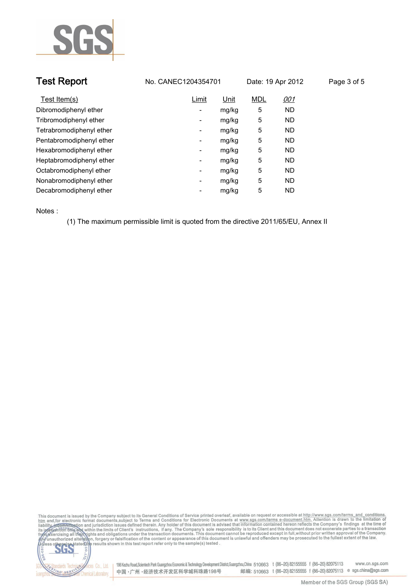

| <b>Test Report</b>       | No. CANEC1204354701               | Date: 19 Apr 2012 | Page 3 of 5 |
|--------------------------|-----------------------------------|-------------------|-------------|
| Test Item(s)             | Unit<br>Limit                     | <b>MDL</b>        | <u>001</u>  |
| Dibromodiphenyl ether    | mg/kg<br>$\overline{\phantom{a}}$ | 5                 | ND.         |
| Tribromodiphenyl ether   | mg/kg<br>-                        | 5                 | ND.         |
| Tetrabromodiphenyl ether | mg/kg<br>-                        | 5                 | ND.         |
| Pentabromodiphenyl ether | mg/kg<br>$\overline{\phantom{a}}$ | 5                 | ND.         |
| Hexabromodiphenyl ether  | mg/kg<br>$\overline{\phantom{a}}$ | 5                 | ND.         |
| Heptabromodiphenyl ether | mg/kg<br>$\overline{\phantom{a}}$ | 5                 | ND.         |
| Octabromodiphenyl ether  | mg/kg<br>۰                        | 5                 | ND.         |
| Nonabromodiphenyl ether  | mg/kg<br>$\overline{\phantom{a}}$ | 5                 | ND.         |
| Decabromodiphenyl ether  | mg/kg<br>-                        | 5                 | ND.         |

**Notes :.**

**(1) The maximum permissible limit is quoted from the directive 2011/65/EU, Annex II.**





onces Co., Ltd. | 198 Kezhu Road,Scientech Park Guangzhou Economic & Technology Development District,Guangzhou,China 510663 t (86–20) 82155555 f (86–20) 82075113 www.cn.sgs.com 邮编: 510663 t (86-20) 82155555 f (86-20) 82075113 e sgs.china@sgs.com 中国·广州·经济技术开发区科学城科珠路198号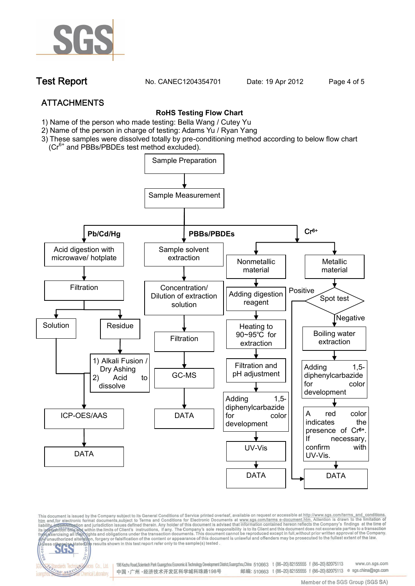

**Test Report. No. CANEC1204354701 Date: 19 Apr 2012. Page 4 of 5.**

# **ATTACHMENTS**

fices Co., Ltd.

Chemical Laboratory

NG SER

### **RoHS Testing Flow Chart**

- **1)** Name of the person who made testing: Bella Wang / **Cutey Yu**
- 2) Name of the person in charge of testing: Adams Yu / **Ryan Yang**
- 3) These samples were dissolved totally by pre-conditioning method according to below flow chart (Cr<sup>6+</sup> and PBBs/PBDEs test method excluded).



This document is issued by the Company subject to its General Conditions of Service printed overleaf, available on request or accessible at http://www.sgs.com/terms\_and\_conditions.<br>htm\_and,for electronic format documents,s

198 Kezhu Road,Scientech Park Guangzhou Economic & Technology Development District,Guangzhou,China 510663 t (86-20) 82155555 f (86-20) 82075113 www.cn.sas.com 邮编: 510663 t (86-20) 82155555 f (86-20) 82075113 e sgs.china@sgs.com 中国·广州·经济技术开发区科学城科珠路198号